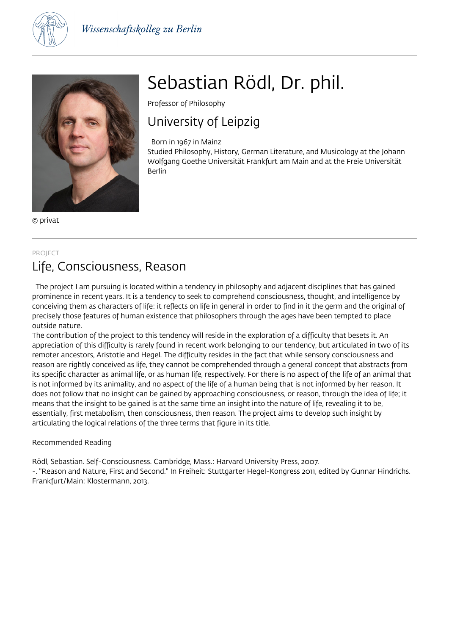



© privat

## PROJECT

## Studied Philosophy, History, German Literature, and Musicology at the Johann Wolfgang Goethe Universität Frankfurt am Main and at the Freie Universität

Berlin

Professor of Philosophy

Born in 1967 in Mainz

University of Leipzig

# Life, Consciousness, Reason

 The project I am pursuing is located within a tendency in philosophy and adjacent disciplines that has gained prominence in recent years. It is a tendency to seek to comprehend consciousness, thought, and intelligence by conceiving them as characters of life: it reflects on life in general in order to find in it the germ and the original of precisely those features of human existence that philosophers through the ages have been tempted to place outside nature.

Sebastian Rödl, Dr. phil.

The contribution of the project to this tendency will reside in the exploration of a difficulty that besets it. An appreciation of this difficulty is rarely found in recent work belonging to our tendency, but articulated in two of its remoter ancestors, Aristotle and Hegel. The difficulty resides in the fact that while sensory consciousness and reason are rightly conceived as life, they cannot be comprehended through a general concept that abstracts from its specific character as animal life, or as human life, respectively. For there is no aspect of the life of an animal that is not informed by its animality, and no aspect of the life of a human being that is not informed by her reason. It does not follow that no insight can be gained by approaching consciousness, or reason, through the idea of life; it means that the insight to be gained is at the same time an insight into the nature of life, revealing it to be, essentially, first metabolism, then consciousness, then reason. The project aims to develop such insight by articulating the logical relations of the three terms that figure in its title.

### Recommended Reading

Rödl, Sebastian. Self-Consciousness. Cambridge, Mass.: Harvard University Press, 2007.

-. "Reason and Nature, First and Second." In Freiheit: Stuttgarter Hegel-Kongress 2011, edited by Gunnar Hindrichs. Frankfurt/Main: Klostermann, 2013.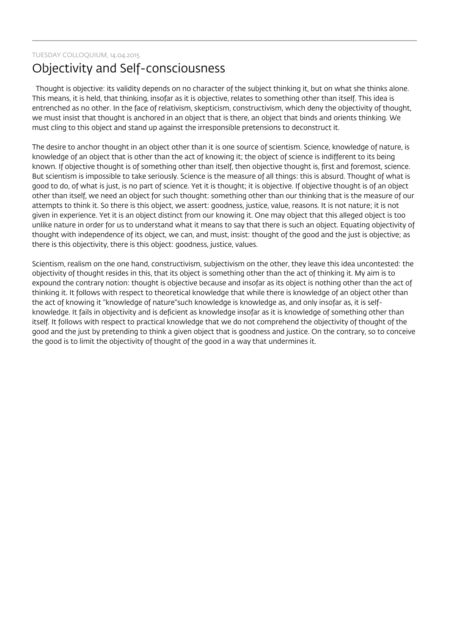TUESDAY COLLOQUIUM, 14.04.2015

# Objectivity and Self-consciousness

 Thought is objective: its validity depends on no character of the subject thinking it, but on what she thinks alone. This means, it is held, that thinking, insofar as it is objective, relates to something other than itself. This idea is entrenched as no other. In the face of relativism, skepticism, constructivism, which deny the objectivity of thought, we must insist that thought is anchored in an object that is there, an object that binds and orients thinking. We must cling to this object and stand up against the irresponsible pretensions to deconstruct it.

The desire to anchor thought in an object other than it is one source of scientism. Science, knowledge of nature, is knowledge of an object that is other than the act of knowing it; the object of science is indifferent to its being known. If objective thought is of something other than itself, then objective thought is, first and foremost, science. But scientism is impossible to take seriously. Science is the measure of all things: this is absurd. Thought of what is good to do, of what is just, is no part of science. Yet it is thought; it is objective. If objective thought is of an object other than itself, we need an object for such thought: something other than our thinking that is the measure of our attempts to think it. So there is this object, we assert: goodness, justice, value, reasons. It is not nature; it is not given in experience. Yet it is an object distinct from our knowing it. One may object that this alleged object is too unlike nature in order for us to understand what it means to say that there is such an object. Equating objectivity of thought with independence of its object, we can, and must, insist: thought of the good and the just is objective; as there is this objectivity, there is this object: goodness, justice, values.

Scientism, realism on the one hand, constructivism, subjectivism on the other, they leave this idea uncontested: the objectivity of thought resides in this, that its object is something other than the act of thinking it. My aim is to expound the contrary notion: thought is objective because and insofar as its object is nothing other than the act of thinking it. It follows with respect to theoretical knowledge that while there is knowledge of an object other than the act of knowing it "knowledge of nature"such knowledge is knowledge as, and only insofar as, it is selfknowledge. It fails in objectivity and is deficient as knowledge insofar as it is knowledge of something other than itself. It follows with respect to practical knowledge that we do not comprehend the objectivity of thought of the good and the just by pretending to think a given object that is goodness and justice. On the contrary, so to conceive the good is to limit the objectivity of thought of the good in a way that undermines it.